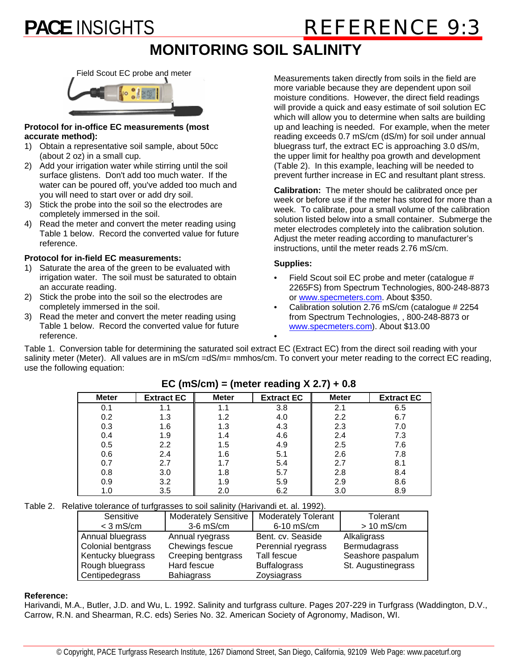# **PACE INSIGHTS REFERENCE 9:3**

## **MONITORING SOIL SALINITY**



#### **Protocol for in-office EC measurements (most accurate method):**

- 1) Obtain a representative soil sample, about 50cc (about 2 oz) in a small cup.
- 2) Add your irrigation water while stirring until the soil surface glistens. Don't add too much water. If the water can be poured off, you've added too much and you will need to start over or add dry soil.
- 3) Stick the probe into the soil so the electrodes are completely immersed in the soil.
- 4) Read the meter and convert the meter reading using Table 1 below. Record the converted value for future reference.

#### **Protocol for in-field EC measurements:**

- 1) Saturate the area of the green to be evaluated with irrigation water. The soil must be saturated to obtain an accurate reading.
- 2) Stick the probe into the soil so the electrodes are completely immersed in the soil.
- 3) Read the meter and convert the meter reading using Table 1 below. Record the converted value for future reference.

Measurements taken directly from soils in the field are more variable because they are dependent upon soil moisture conditions. However, the direct field readings will provide a quick and easy estimate of soil solution EC which will allow you to determine when salts are building up and leaching is needed. For example, when the meter reading exceeds 0.7 mS/cm (dS/m) for soil under annual bluegrass turf, the extract EC is approaching 3.0 dS/m, the upper limit for healthy poa growth and development (Table 2). In this example, leaching will be needed to prevent further increase in EC and resultant plant stress.

**Calibration:** The meter should be calibrated once per week or before use if the meter has stored for more than a week. To calibrate, pour a small volume of the calibration solution listed below into a small container. Submerge the meter electrodes completely into the calibration solution. Adjust the meter reading according to manufacturer's instructions, until the meter reads 2.76 mS/cm.

#### **Supplies:**

- Field Scout soil EC probe and meter (catalogue # 2265FS) from Spectrum Technologies, 800-248-8873 or www.specmeters.com. About \$350.
- Calibration solution 2.76 mS/cm (catalogue # 2254 from Spectrum Technologies, , 800-248-8873 or www.specmeters.com). About \$13.00

Table 1. Conversion table for determining the saturated soil extract EC (Extract EC) from the direct soil reading with your salinity meter (Meter). All values are in mS/cm =dS/m= mmhos/cm. To convert your meter reading to the correct EC reading, use the following equation:

•

| <b>Meter</b> | <b>Extract EC</b> | <b>Meter</b> | <b>Extract EC</b> | <b>Meter</b> | <b>Extract EC</b> |
|--------------|-------------------|--------------|-------------------|--------------|-------------------|
| 0.1          |                   |              | 3.8               | 2.1          | 6.5               |
| 0.2          | 1.3               | 1.2          | 4.0               | 2.2          | 6.7               |
| 0.3          | 1.6               | 1.3          | 4.3               | 2.3          | 7.0               |
| 0.4          | 1.9               | 1.4          | 4.6               | 2.4          | 7.3               |
| 0.5          | 2.2               | 1.5          | 4.9               | 2.5          | 7.6               |
| 0.6          | 2.4               | 1.6          | 5.1               | 2.6          | 7.8               |
| 0.7          | 2.7               |              | 5.4               | 2.7          | 8.1               |
| 0.8          | 3.0               | 1.8          | 5.7               | 2.8          | 8.4               |
| 0.9          | 3.2               | 1.9          | 5.9               | 2.9          | 8.6               |
| 1.0          | 3.5               | 2.0          | 6.2               | 3.0          | 8.9               |

### **EC (mS/cm) = (meter reading X 2.7) + 0.8**

Table 2. Relative tolerance of turfgrasses to soil salinity (Harivandi et. al. 1992).

| Sensitive          | <b>Moderately Sensitive</b> | <b>Moderately Tolerant</b> | Tolerant           |  |  |  |  |  |  |
|--------------------|-----------------------------|----------------------------|--------------------|--|--|--|--|--|--|
| $<$ 3 mS/cm        | $3-6$ mS/cm                 | 6-10 mS/cm                 | $> 10$ mS/cm       |  |  |  |  |  |  |
| Annual bluegrass   | Annual ryegrass             | Bent. cv. Seaside          | Alkaligrass        |  |  |  |  |  |  |
| Colonial bentgrass | Chewings fescue             | Perennial ryegrass         | Bermudagrass       |  |  |  |  |  |  |
| Kentucky bluegrass | Creeping bentgrass          | Tall fescue                | Seashore paspalum  |  |  |  |  |  |  |
| Rough bluegrass    | Hard fescue                 | <b>Buffalograss</b>        | St. Augustinegrass |  |  |  |  |  |  |
| Centipedegrass     | <b>Bahiagrass</b>           | Zoysiagrass                |                    |  |  |  |  |  |  |

#### **Reference:**

Harivandi, M.A., Butler, J.D. and Wu, L. 1992. Salinity and turfgrass culture. Pages 207-229 in Turfgrass (Waddington, D.V., Carrow, R.N. and Shearman, R.C. eds) Series No. 32. American Society of Agronomy, Madison, WI.